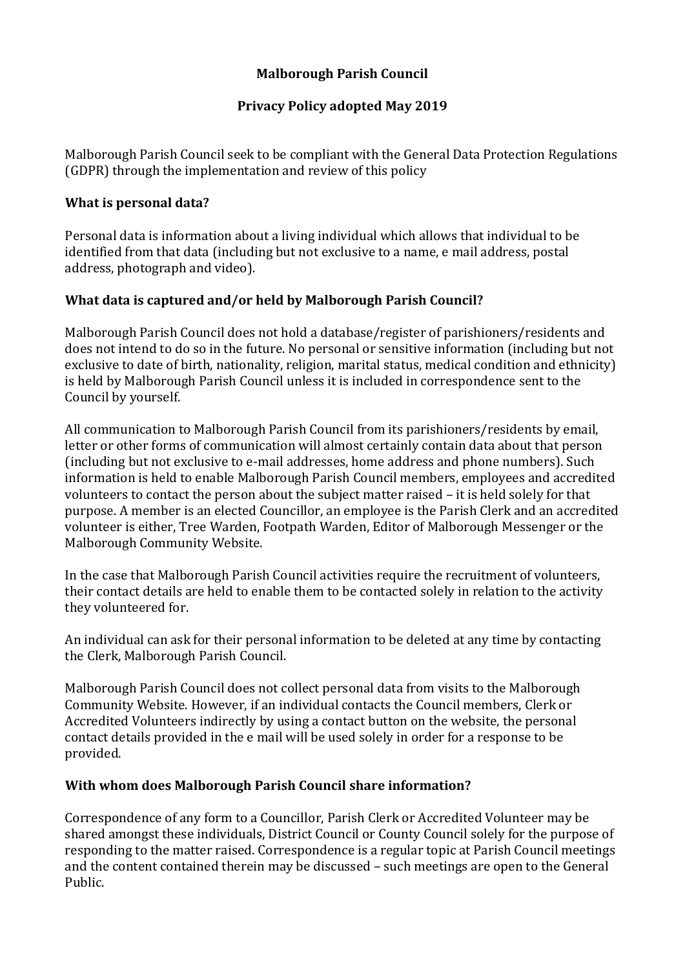# **Malborough Parish Council**

# **Privacy Policy adopted May 2019**

Malborough Parish Council seek to be compliant with the General Data Protection Regulations (GDPR) through the implementation and review of this policy

### **What is personal data?**

Personal data is information about a living individual which allows that individual to be identified from that data (including but not exclusive to a name, e mail address, postal address, photograph and video).

## **What data is captured and/or held by Malborough Parish Council?**

Malborough Parish Council does not hold a database/register of parishioners/residents and does not intend to do so in the future. No personal or sensitive information (including but not exclusive to date of birth, nationality, religion, marital status, medical condition and ethnicity) is held by Malborough Parish Council unless it is included in correspondence sent to the Council by yourself.

All communication to Malborough Parish Council from its parishioners/residents by email, letter or other forms of communication will almost certainly contain data about that person (including but not exclusive to e-mail addresses, home address and phone numbers). Such information is held to enable Malborough Parish Council members, employees and accredited volunteers to contact the person about the subject matter raised – it is held solely for that purpose. A member is an elected Councillor, an employee is the Parish Clerk and an accredited volunteer is either, Tree Warden, Footpath Warden, Editor of Malborough Messenger or the Malborough Community Website.

In the case that Malborough Parish Council activities require the recruitment of volunteers, their contact details are held to enable them to be contacted solely in relation to the activity they volunteered for.

An individual can ask for their personal information to be deleted at any time by contacting the Clerk, Malborough Parish Council.

Malborough Parish Council does not collect personal data from visits to the Malborough Community Website. However, if an individual contacts the Council members, Clerk or Accredited Volunteers indirectly by using a contact button on the website, the personal contact details provided in the e mail will be used solely in order for a response to be provided.

### **With whom does Malborough Parish Council share information?**

Correspondence of any form to a Councillor, Parish Clerk or Accredited Volunteer may be shared amongst these individuals, District Council or County Council solely for the purpose of responding to the matter raised. Correspondence is a regular topic at Parish Council meetings and the content contained therein may be discussed – such meetings are open to the General Public.